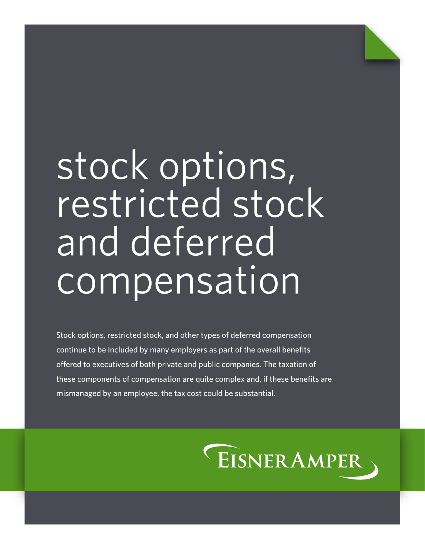# stock options, restricted stock and deferred compensation

Stock options, restricted stock, and other types of deferred compensation continue to be included by many employers as part of the overall benefits offered to executives of both private and public companies. The taxation of these components of compensation are quite complex and, if these benefits are mismanaged by an employee, the tax cost could be substantial.

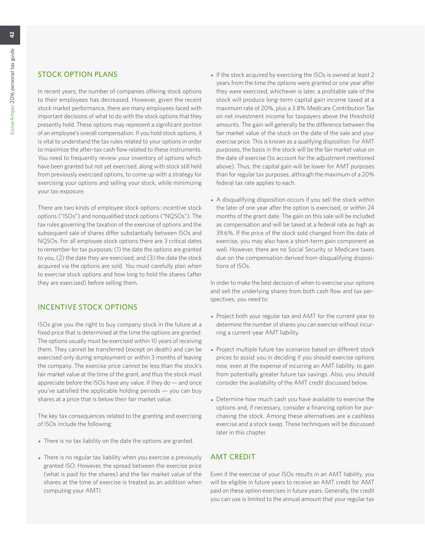# STOCK OPTION PLANS

In recent years, the number of companies offering stock options to their employees has decreased. However, given the recent stock market performance, there are many employees faced with important decisions of what to do with the stock options that they presently hold. These options may represent a significant portion of an employee's overall compensation. If you hold stock options, it is vital to understand the tax rules related to your options in order to maximize the after-tax cash flow related to these instruments. You need to frequently review your inventory of options which have been granted but not yet exercised, along with stock still held from previously exercised options, to come up with a strategy for exercising your options and selling your stock, while minimizing your tax exposure.

There are two kinds of employee stock options: incentive stock options ("ISOs") and nonqualified stock options ("NQSOs"). The tax rules governing the taxation of the exercise of options and the subsequent sale of shares differ substantially between ISOs and NQSOs. For all employee stock options there are 3 critical dates to remember for tax purposes: (1) the date the options are granted to you, (2) the date they are exercised, and (3) the date the stock acquired via the options are sold. You must carefully plan when to exercise stock options and how long to hold the shares (after they are exercised) before selling them.

# INCENTIVE STOCK OPTIONS

ISOs give you the right to buy company stock in the future at a fixed price that is determined at the time the options are granted. The options usually must be exercised within 10 years of receiving them. They cannot be transferred (except on death) and can be exercised only during employment or within 3 months of leaving the company. The exercise price cannot be less than the stock's fair market value at the time of the grant, and thus the stock must appreciate before the ISOs have any value. If they do — and once you've satisfied the applicable holding periods — you can buy shares at a price that is below their fair market value.

The key tax consequences related to the granting and exercising of ISOs include the following:

- There is no tax liability on the date the options are granted.
- There is no regular tax liability when you exercise a previously granted ISO. However, the spread between the exercise price (what is paid for the shares) and the fair market value of the shares at the time of exercise is treated as an addition when computing your AMTI.
- If the stock acquired by exercising the ISOs is owned at least 2 years from the time the options were granted or one year after they were exercised, whichever is later, a profitable sale of the stock will produce long-term capital gain income taxed at a maximum rate of 20%, plus a 3.8% Medicare Contribution Tax on net investment income for taxpayers above the threshold amounts. The gain will generally be the difference between the fair market value of the stock on the date of the sale and your exercise price. This is known as a qualifying disposition. For AMT purposes, the basis in the stock will be the fair market value on the date of exercise (to account for the adjustment mentioned above). Thus, the capital gain will be lower for AMT purposes than for regular tax purposes, although the maximum of a 20% federal tax rate applies to each.
- A disqualifying disposition occurs if you sell the stock within the later of one year after the option is exercised, or within 24 months of the grant date. The gain on this sale will be included as compensation and will be taxed at a federal rate as high as 39.6%. If the price of the stock sold changed from the date of exercise, you may also have a short-term gain component as well. However, there are no Social Security or Medicare taxes due on the compensation derived from disqualifying dispositions of ISOs.

In order to make the best decision of when to exercise your options and sell the underlying shares from both cash flow and tax perspectives, you need to:

- Project both your regular tax and AMT for the current year to determine the number of shares you can exercise without incurring a current-year AMT liability.
- Project multiple future tax scenarios based on different stock prices to assist you in deciding if you should exercise options now, even at the expense of incurring an AMT liability, to gain from potentially greater future tax savings. Also, you should consider the availability of the AMT credit discussed below.
- Determine how much cash you have available to exercise the options and, if necessary, consider a financing option for purchasing the stock. Among these alternatives are a cashless exercise and a stock swap. These techniques will be discussed later in this chapter.

# AMT CREDIT

Even if the exercise of your ISOs results in an AMT liability, you will be eligible in future years to receive an AMT credit for AMT paid on these option exercises in future years. Generally, the credit you can use is limited to the annual amount that your regular tax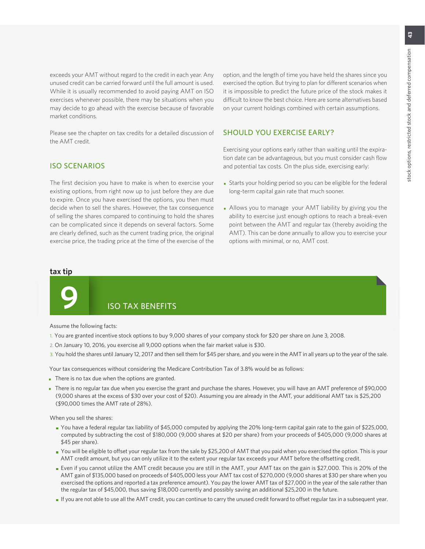exceeds your AMT without regard to the credit in each year. Any unused credit can be carried forward until the full amount is used. While it is usually recommended to avoid paying AMT on ISO exercises whenever possible, there may be situations when you may decide to go ahead with the exercise because of favorable market conditions.

Please see the chapter on tax credits for a detailed discussion of the AMT credit.

#### ISO SCENARIOS

The first decision you have to make is when to exercise your existing options, from right now up to just before they are due to expire. Once you have exercised the options, you then must decide when to sell the shares. However, the tax consequence of selling the shares compared to continuing to hold the shares can be complicated since it depends on several factors. Some are clearly defined, such as the current trading price, the original exercise price, the trading price at the time of the exercise of the option, and the length of time you have held the shares since you exercised the option. But trying to plan for different scenarios when it is impossible to predict the future price of the stock makes it difficult to know the best choice. Here are some alternatives based on your current holdings combined with certain assumptions.

#### SHOULD YOU EXERCISE EARLY?

Exercising your options early rather than waiting until the expiration date can be advantageous, but you must consider cash flow and potential tax costs. On the plus side, exercising early:

- Starts your holding period so you can be eligible for the federal long-term capital gain rate that much sooner.
- Allows you to manage your AMT liability by giving you the ability to exercise just enough options to reach a break-even point between the AMT and regular tax (thereby avoiding the AMT). This can be done annually to allow you to exercise your options with minimal, or no, AMT cost.

#### **tax tip**



# **9** ISO TAX BENEFITS

Assume the following facts:

- 1. You are granted incentive stock options to buy 9,000 shares of your company stock for \$20 per share on June 3, 2008.
- 2. On January 10, 2016, you exercise all 9,000 options when the fair market value is \$30.
- 3. You hold the shares until January 12, 2017 and then sell them for \$45 per share, and you were in the AMT in all years up to the year of the sale.

Your tax consequences without considering the Medicare Contribution Tax of 3.8% would be as follows:

- There is no tax due when the options are granted.
- There is no regular tax due when you exercise the grant and purchase the shares. However, you will have an AMT preference of \$90,000 (9,000 shares at the excess of \$30 over your cost of \$20). Assuming you are already in the AMT, your additional AMT tax is \$25,200 (\$90,000 times the AMT rate of 28%).

When you sell the shares:

- You have a federal regular tax liability of \$45,000 computed by applying the 20% long-term capital gain rate to the gain of \$225,000, computed by subtracting the cost of \$180,000 (9,000 shares at \$20 per share) from your proceeds of \$405,000 (9,000 shares at \$45 per share).
- You will be eligible to offset your regular tax from the sale by \$25,200 of AMT that you paid when you exercised the option. This is your AMT credit amount, but you can only utilize it to the extent your regular tax exceeds your AMT before the offsetting credit.
- Even if you cannot utilize the AMT credit because you are still in the AMT, your AMT tax on the gain is \$27,000. This is 20% of the AMT gain of \$135,000 based on proceeds of \$405,000 less your AMT tax cost of \$270,000 (9,000 shares at \$30 per share when you exercised the options and reported a tax preference amount). You pay the lower AMT tax of \$27,000 in the year of the sale rather than the regular tax of \$45,000, thus saving \$18,000 currently and possibly saving an additional \$25,200 in the future.
- If you are not able to use all the AMT credit, you can continue to carry the unused credit forward to offset regular tax in a subsequent year.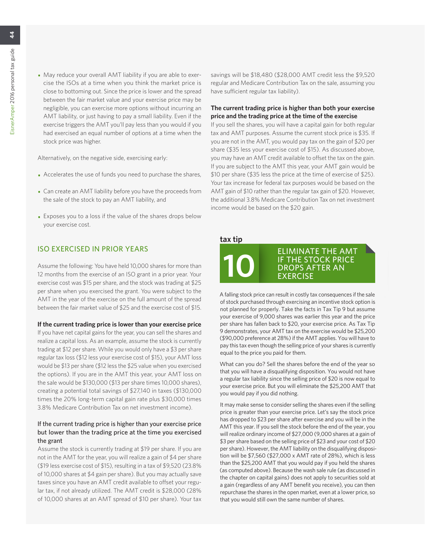• May reduce your overall AMT liability if you are able to exercise the ISOs at a time when you think the market price is close to bottoming out. Since the price is lower and the spread between the fair market value and your exercise price may be negligible, you can exercise more options without incurring an AMT liability, or just having to pay a small liability. Even if the exercise triggers the AMT you'll pay less than you would if you had exercised an equal number of options at a time when the stock price was higher.

Alternatively, on the negative side, exercising early:

- Accelerates the use of funds you need to purchase the shares,
- Can create an AMT liability before you have the proceeds from the sale of the stock to pay an AMT liability, and
- Exposes you to a loss if the value of the shares drops below your exercise cost.

#### ISO EXERCISED IN PRIOR YEARS

Assume the following: You have held 10,000 shares for more than 12 months from the exercise of an ISO grant in a prior year. Your exercise cost was \$15 per share, and the stock was trading at \$25 per share when you exercised the grant. You were subject to the AMT in the year of the exercise on the full amount of the spread between the fair market value of \$25 and the exercise cost of \$15.

#### **If the current trading price is lower than your exercise price**

If you have net capital gains for the year, you can sell the shares and realize a capital loss. As an example, assume the stock is currently trading at \$12 per share. While you would only have a \$3 per share regular tax loss (\$12 less your exercise cost of \$15), your AMT loss would be \$13 per share (\$12 less the \$25 value when you exercised the options). If you are in the AMT this year, your AMT loss on the sale would be \$130,000 (\$13 per share times 10,000 shares), creating a potential total savings of \$27,140 in taxes (\$130,000 times the 20% long-term capital gain rate plus \$30,000 times 3.8% Medicare Contribution Tax on net investment income).

#### If the current trading price is higher than your exercise price but lower than the trading price at the time you exercised the grant

Assume the stock is currently trading at \$19 per share. If you are not in the AMT for the year, you will realize a gain of \$4 per share (\$19 less exercise cost of \$15), resulting in a tax of \$9,520 (23.8% of 10,000 shares at \$4 gain per share). But you may actually save taxes since you have an AMT credit available to offset your regular tax, if not already utilized. The AMT credit is \$28,000 (28% of 10,000 shares at an AMT spread of \$10 per share). Your tax savings will be \$18,480 (\$28,000 AMT credit less the \$9,520 regular and Medicare Contribution Tax on the sale, assuming you have sufficient regular tax liability).

#### **The current trading price is higher than both your exercise price and the trading price at the time of the exercise**

If you sell the shares, you will have a capital gain for both regular tax and AMT purposes. Assume the current stock price is \$35. If you are not in the AMT, you would pay tax on the gain of \$20 per share (\$35 less your exercise cost of \$15). As discussed above, you may have an AMT credit available to offset the tax on the gain. If you are subject to the AMT this year, your AMT gain would be \$10 per share (\$35 less the price at the time of exercise of \$25). Your tax increase for federal tax purposes would be based on the AMT gain of \$10 rather than the regular tax gain of \$20. However, the additional 3.8% Medicare Contribution Tax on net investment income would be based on the \$20 gain.

#### **tax tip**



A falling stock price can result in costly tax consequences if the sale of stock purchased through exercising an incentive stock option is not planned for properly. Take the facts in Tax Tip 9 but assume your exercise of 9,000 shares was earlier this year and the price per share has fallen back to \$20, your exercise price. As Tax Tip 9 demonstrates, your AMT tax on the exercise would be \$25,200 (\$90,000 preference at 28%) if the AMT applies. You will have to pay this tax even though the selling price of your shares is currently equal to the price you paid for them.

What can you do? Sell the shares before the end of the year so that you will have a disqualifying disposition. You would not have a regular tax liability since the selling price of \$20 is now equal to your exercise price. But you will eliminate the \$25,200 AMT that you would pay if you did nothing.

It may make sense to consider selling the shares even if the selling price is greater than your exercise price. Let's say the stock price has dropped to \$23 per share after exercise and you will be in the AMT this year. If you sell the stock before the end of the year, you will realize ordinary income of \$27,000 (9,000 shares at a gain of \$3 per share based on the selling price of \$23 and your cost of \$20 per share). However, the AMT liability on the disqualifying disposition will be \$7,560 (\$27,000 x AMT rate of 28%), which is less than the \$25,200 AMT that you would pay if you held the shares (as computed above). Because the wash sale rule (as discussed in the chapter on capital gains) does not apply to securities sold at a gain (regardless of any AMT benefit you receive), you can then repurchase the shares in the open market, even at a lower price, so that you would still own the same number of shares.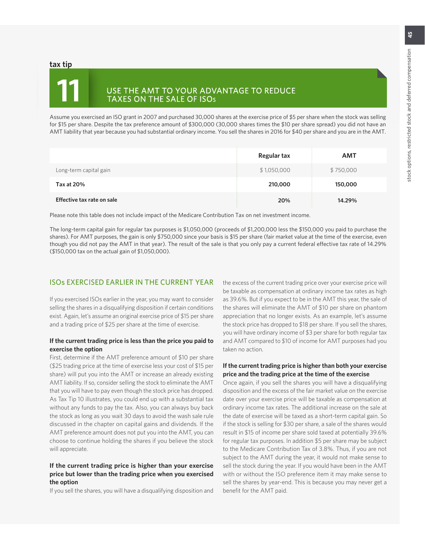#### **tax tip**

# **11**

# USE THE AMT TO YOUR ADVANTAGE TO REDUCE<br>TAXES ON THE SALE OF ISOs

Assume you exercised an ISO grant in 2007 and purchased 30,000 shares at the exercise price of \$5 per share when the stock was selling for \$15 per share. Despite the tax preference amount of \$300,000 (30,000 shares times the \$10 per share spread) you did not have an AMT liability that year because you had substantial ordinary income. You sell the shares in 2016 for \$40 per share and you are in the AMT.

|                            | Regular tax | <b>AMT</b> |
|----------------------------|-------------|------------|
| Long-term capital gain     | \$1,050,000 | \$750,000  |
| Tax at 20%                 | 210,000     | 150,000    |
| Effective tax rate on sale | 20%         | 14.29%     |

Please note this table does not include impact of the Medicare Contribution Tax on net investment income.

The long-term capital gain for regular tax purposes is \$1,050,000 (proceeds of \$1,200,000 less the \$150,000 you paid to purchase the shares). For AMT purposes, the gain is only \$750,000 since your basis is \$15 per share (fair market value at the time of the exercise, even though you did not pay the AMT in that year). The result of the sale is that you only pay a current federal effective tax rate of 14.29% (\$150,000 tax on the actual gain of \$1,050,000).

### ISOs EXERCISED EARLIER IN THE CURRENT YEAR

If you exercised ISOs earlier in the year, you may want to consider selling the shares in a disqualifying disposition if certain conditions exist. Again, let's assume an original exercise price of \$15 per share and a trading price of \$25 per share at the time of exercise.

#### **If the current trading price is less than the price you paid to exercise the option**

First, determine if the AMT preference amount of \$10 per share (\$25 trading price at the time of exercise less your cost of \$15 per share) will put you into the AMT or increase an already existing AMT liability. If so, consider selling the stock to eliminate the AMT that you will have to pay even though the stock price has dropped. As Tax Tip 10 illustrates, you could end up with a substantial tax without any funds to pay the tax. Also, you can always buy back the stock as long as you wait 30 days to avoid the wash sale rule discussed in the chapter on capital gains and dividends. If the AMT preference amount does not put you into the AMT, you can choose to continue holding the shares if you believe the stock will appreciate.

#### **If the current trading price is higher than your exercise price but lower than the trading price when you exercised the option**

If you sell the shares, you will have a disqualifying disposition and

the excess of the current trading price over your exercise price will be taxable as compensation at ordinary income tax rates as high as 39.6%. But if you expect to be in the AMT this year, the sale of the shares will eliminate the AMT of \$10 per share on phantom appreciation that no longer exists. As an example, let's assume the stock price has dropped to \$18 per share. If you sell the shares, you will have ordinary income of \$3 per share for both regular tax and AMT compared to \$10 of income for AMT purposes had you taken no action.

#### **If the current trading price is higher than both your exercise price and the trading price at the time of the exercise**

Once again, if you sell the shares you will have a disqualifying disposition and the excess of the fair market value on the exercise date over your exercise price will be taxable as compensation at ordinary income tax rates. The additional increase on the sale at the date of exercise will be taxed as a short-term capital gain. So if the stock is selling for \$30 per share, a sale of the shares would result in \$15 of income per share sold taxed at potentially 39.6% for regular tax purposes. In addition \$5 per share may be subject to the Medicare Contribution Tax of 3.8%. Thus, if you are not subject to the AMT during the year, it would not make sense to sell the stock during the year. If you would have been in the AMT with or without the ISO preference item it may make sense to sell the shares by year-end. This is because you may never get a benefit for the AMT paid.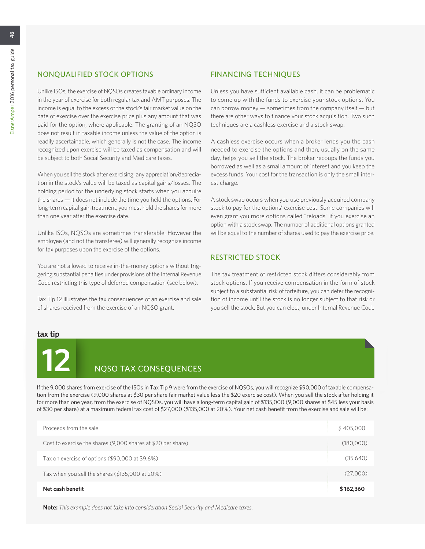# NONQUALIFIED STOCK OPTIONS

Unlike ISOs, the exercise of NQSOs creates taxable ordinary income in the year of exercise for both regular tax and AMT purposes. The income is equal to the excess of the stock's fair market value on the date of exercise over the exercise price plus any amount that was paid for the option, where applicable. The granting of an NQSO does not result in taxable income unless the value of the option is readily ascertainable, which generally is not the case. The income recognized upon exercise will be taxed as compensation and will be subject to both Social Security and Medicare taxes.

When you sell the stock after exercising, any appreciation/depreciation in the stock's value will be taxed as capital gains/losses. The holding period for the underlying stock starts when you acquire the shares — it does not include the time you held the options. For long-term capital gain treatment, you must hold the shares for more than one year after the exercise date.

Unlike ISOs, NQSOs are sometimes transferable. However the employee (and not the transferee) will generally recognize income for tax purposes upon the exercise of the options.

You are not allowed to receive in-the-money options without triggering substantial penalties under provisions of the Internal Revenue Code restricting this type of deferred compensation (see below).

Tax Tip 12 illustrates the tax consequences of an exercise and sale of shares received from the exercise of an NQSO grant.

# FINANCING TECHNIQUES

Unless you have sufficient available cash, it can be problematic to come up with the funds to exercise your stock options. You can borrow money — sometimes from the company itself — but there are other ways to finance your stock acquisition. Two such techniques are a cashless exercise and a stock swap.

A cashless exercise occurs when a broker lends you the cash needed to exercise the options and then, usually on the same day, helps you sell the stock. The broker recoups the funds you borrowed as well as a small amount of interest and you keep the excess funds. Your cost for the transaction is only the small interest charge.

A stock swap occurs when you use previously acquired company stock to pay for the options' exercise cost. Some companies will even grant you more options called "reloads" if you exercise an option with a stock swap. The number of additional options granted will be equal to the number of shares used to pay the exercise price.

### RESTRICTED STOCK

The tax treatment of restricted stock differs considerably from stock options. If you receive compensation in the form of stock subject to a substantial risk of forfeiture, you can defer the recognition of income until the stock is no longer subject to that risk or you sell the stock. But you can elect, under Internal Revenue Code

#### **tax tip**

# **12** NQSO TAX CONSEQUENCES

If the 9,000 shares from exercise of the ISOs in Tax Tip 9 were from the exercise of NQSOs, you will recognize \$90,000 of taxable compensation from the exercise (9,000 shares at \$30 per share fair market value less the \$20 exercise cost). When you sell the stock after holding it for more than one year, from the exercise of NQSOs, you will have a long-term capital gain of \$135,000 (9,000 shares at \$45 less your basis of \$30 per share) at a maximum federal tax cost of \$27,000 (\$135,000 at 20%). Your net cash benefit from the exercise and sale will be:

| Proceeds from the sale                                       | \$405,000 |
|--------------------------------------------------------------|-----------|
| Cost to exercise the shares (9,000 shares at \$20 per share) | (180,000) |
| Tax on exercise of options (\$90,000 at 39.6%)               | (35.640)  |
| Tax when you sell the shares (\$135,000 at 20%)              | (27,000)  |
| Net cash benefit                                             | \$162,360 |

**Note:** *This example does not take into consideration Social Security and Medicare taxes.*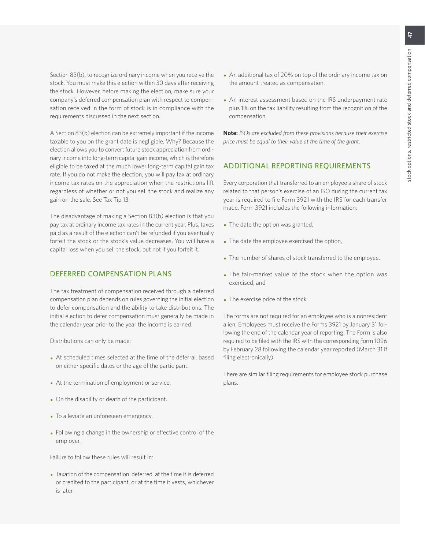Section 83(b), to recognize ordinary income when you receive the stock. You must make this election within 30 days after receiving the stock. However, before making the election, make sure your company's deferred compensation plan with respect to compensation received in the form of stock is in compliance with the requirements discussed in the next section.

A Section 83(b) election can be extremely important if the income taxable to you on the grant date is negligible. Why? Because the election allows you to convert future stock appreciation from ordinary income into long-term capital gain income, which is therefore eligible to be taxed at the much lower long-term capital gain tax rate. If you do not make the election, you will pay tax at ordinary income tax rates on the appreciation when the restrictions lift regardless of whether or not you sell the stock and realize any gain on the sale. See Tax Tip 13.

The disadvantage of making a Section 83(b) election is that you pay tax at ordinary income tax rates in the current year. Plus, taxes paid as a result of the election can't be refunded if you eventually forfeit the stock or the stock's value decreases. You will have a capital loss when you sell the stock, but not if you forfeit it.

#### DEFERRED COMPENSATION PLANS

The tax treatment of compensation received through a deferred compensation plan depends on rules governing the initial election to defer compensation and the ability to take distributions. The initial election to defer compensation must generally be made in the calendar year prior to the year the income is earned.

Distributions can only be made:

- At scheduled times selected at the time of the deferral, based on either specific dates or the age of the participant.
- At the termination of employment or service.
- On the disability or death of the participant.
- To alleviate an unforeseen emergency.
- Following a change in the ownership or effective control of the employer.

Failure to follow these rules will result in:

• Taxation of the compensation 'deferred' at the time it is deferred or credited to the participant, or at the time it vests, whichever is later.

- An additional tax of 20% on top of the ordinary income tax on the amount treated as compensation.
- An interest assessment based on the IRS underpayment rate plus 1% on the tax liability resulting from the recognition of the compensation.

**Note:** *ISOs are excluded from these provisions because their exercise price must be equal to their value at the time of the grant.*

#### ADDITIONAL REPORTING REQUIREMENTS

Every corporation that transferred to an employee a share of stock related to that person's exercise of an ISO during the current tax year is required to file Form 3921 with the IRS for each transfer made. Form 3921 includes the following information:

- The date the option was granted,
- The date the employee exercised the option,
- The number of shares of stock transferred to the employee,
- The fair-market value of the stock when the option was exercised, and
- The exercise price of the stock.

The forms are not required for an employee who is a nonresident alien. Employees must receive the Forms 3921 by January 31 following the end of the calendar year of reporting. The Form is also required to be filed with the IRS with the corresponding Form 1096 by February 28 following the calendar year reported (March 31 if filing electronically).

There are similar filing requirements for employee stock purchase plans.